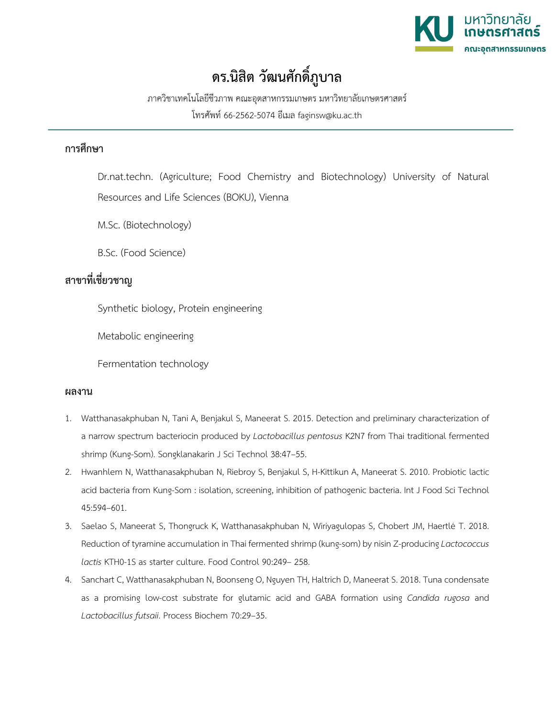

## **ดร.นิสิต วัฒนศักดิ์ภูบาล**

ภาควิชาเทคโนโลยีชีวภาพ คณะอุตสาหกรรมเกษตร มหาวิทยาลัยเกษตรศาสตร์ โทรศัพท์ 66-2562-5074 อีเมล faginsw@ku.ac.th

## **การศึกษา**

Dr.nat.techn. (Agriculture; Food Chemistry and Biotechnology) University of Natural Resources and Life Sciences (BOKU), Vienna

M.Sc. (Biotechnology)

B.Sc. (Food Science)

## **สาขาที่เชี่ยวชาญ**

Synthetic biology, Protein engineering

Metabolic engineering

Fermentation technology

## **ผลงาน**

- 1. Watthanasakphuban N, Tani A, Benjakul S, Maneerat S. 2015. Detection and preliminary characterization of a narrow spectrum bacteriocin produced by *Lactobacillus pentosus* K2N7 from Thai traditional fermented shrimp (Kung-Som). Songklanakarin J Sci Technol 38:47–55.
- 2. Hwanhlem N, Watthanasakphuban N, Riebroy S, Benjakul S, H-Kittikun A, Maneerat S. 2010. Probiotic lactic acid bacteria from Kung-Som : isolation, screening, inhibition of pathogenic bacteria. Int J Food Sci Technol 45:594–601.
- 3. Saelao S, Maneerat S, Thongruck K, Watthanasakphuban N, Wiriyagulopas S, Chobert JM, Haertlé T. 2018. Reduction of tyramine accumulation in Thai fermented shrimp (kung-som) by nisin Z-producing *Lactococcus lactis* KTH0-1S as starter culture. Food Control 90:249– 258.
- 4. Sanchart C, Watthanasakphuban N, Boonseng O, Nguyen TH, Haltrich D, Maneerat S. 2018. Tuna condensate as a promising low-cost substrate for glutamic acid and GABA formation using *Candida rugosa* and *Lactobacillus futsaii*. Process Biochem 70:29–35.